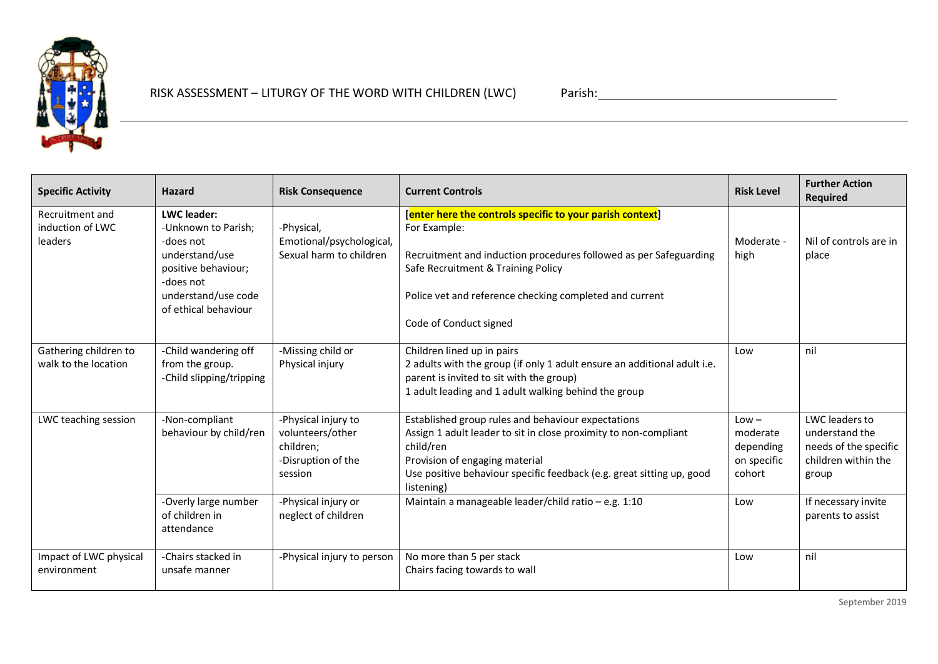

## RISK ASSESSMENT – LITURGY OF THE WORD WITH CHILDREN (LWC) Parish: 2000 PARISH: 2000 Parish: 2000 Parish: 2000 Parish: 2000 Parish: 2000 Parish: 2000 Parish: 2000 Parish: 2000 Parish: 2000 Parish: 2000 Parish: 2000 Parish:

| <b>Specific Activity</b>                       | <b>Hazard</b>                                                                                                                                               | <b>Risk Consequence</b>                                                               | <b>Current Controls</b>                                                                                                                                                                                                                                                   | <b>Risk Level</b>                                         | <b>Further Action</b><br><b>Required</b>                                                  |
|------------------------------------------------|-------------------------------------------------------------------------------------------------------------------------------------------------------------|---------------------------------------------------------------------------------------|---------------------------------------------------------------------------------------------------------------------------------------------------------------------------------------------------------------------------------------------------------------------------|-----------------------------------------------------------|-------------------------------------------------------------------------------------------|
| Recruitment and<br>induction of LWC<br>leaders | <b>LWC</b> leader:<br>-Unknown to Parish;<br>-does not<br>understand/use<br>positive behaviour;<br>-does not<br>understand/use code<br>of ethical behaviour | -Physical,<br>Emotional/psychological,<br>Sexual harm to children                     | [enter here the controls specific to your parish context]<br>For Example:<br>Recruitment and induction procedures followed as per Safeguarding<br>Safe Recruitment & Training Policy<br>Police vet and reference checking completed and current<br>Code of Conduct signed | Moderate -<br>high                                        | Nil of controls are in<br>place                                                           |
| Gathering children to<br>walk to the location  | -Child wandering off<br>from the group.<br>-Child slipping/tripping                                                                                         | -Missing child or<br>Physical injury                                                  | Children lined up in pairs<br>2 adults with the group (if only 1 adult ensure an additional adult i.e.<br>parent is invited to sit with the group)<br>1 adult leading and 1 adult walking behind the group                                                                | Low                                                       | nil                                                                                       |
| LWC teaching session                           | -Non-compliant<br>behaviour by child/ren                                                                                                                    | -Physical injury to<br>volunteers/other<br>children;<br>-Disruption of the<br>session | Established group rules and behaviour expectations<br>Assign 1 adult leader to sit in close proximity to non-compliant<br>child/ren<br>Provision of engaging material<br>Use positive behaviour specific feedback (e.g. great sitting up, good<br>listening)              | $Low -$<br>moderate<br>depending<br>on specific<br>cohort | LWC leaders to<br>understand the<br>needs of the specific<br>children within the<br>group |
|                                                | -Overly large number<br>of children in<br>attendance                                                                                                        | -Physical injury or<br>neglect of children                                            | Maintain a manageable leader/child ratio - e.g. 1:10                                                                                                                                                                                                                      | Low                                                       | If necessary invite<br>parents to assist                                                  |
| Impact of LWC physical<br>environment          | -Chairs stacked in<br>unsafe manner                                                                                                                         | -Physical injury to person                                                            | No more than 5 per stack<br>Chairs facing towards to wall                                                                                                                                                                                                                 | Low                                                       | nil                                                                                       |